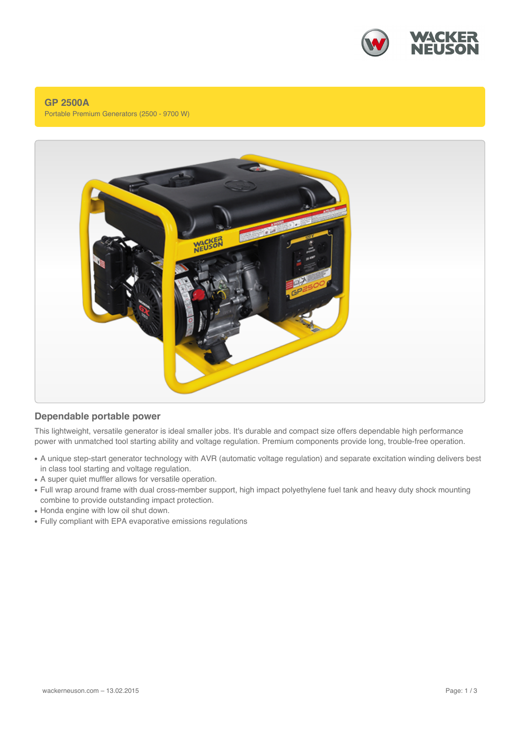

### **GP 2500A** Portable Premium Generators (2500 - 9700 W)



## **Dependable portable power**

This lightweight, versatile generator is ideal smaller jobs. It's durable and compact size offers dependable high performance power with unmatched tool starting ability and voltage regulation. Premium components provide long, trouble-free operation.

- A unique step-start generator technology with AVR (automatic voltage regulation) and separate excitation winding delivers best in class tool starting and voltage regulation.
- A super quiet muffler allows for versatile operation.
- Full wrap around frame with dual cross-member support, high impact polyethylene fuel tank and heavy duty shock mounting combine to provide outstanding impact protection.
- Honda engine with low oil shut down.
- Fully compliant with EPA evaporative emissions regulations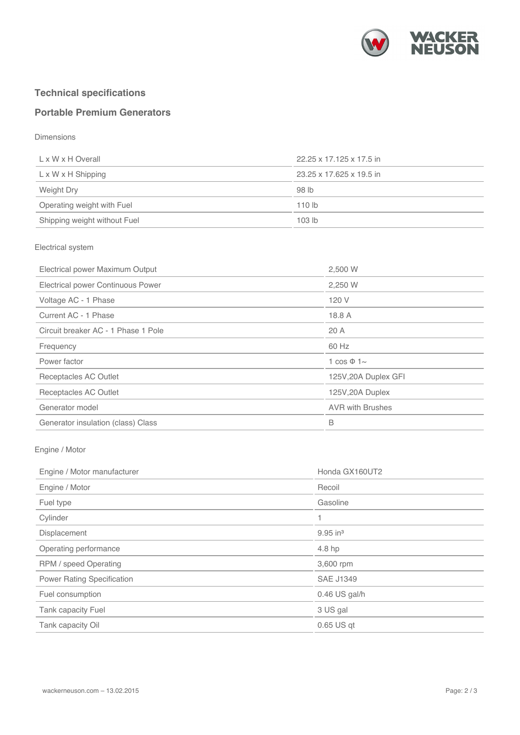

# **Technical specifications**

# **Portable Premium Generators**

Dimensions

| L x W x H Overall              | 22.25 x 17.125 x 17.5 in |
|--------------------------------|--------------------------|
| $L \times W \times H$ Shipping | 23.25 x 17.625 x 19.5 in |
| Weight Dry                     | 98 lb                    |
| Operating weight with Fuel     | 110 <sub>lb</sub>        |
| Shipping weight without Fuel   | 103 <sub>lb</sub>        |

#### Electrical system

| 2,500 W                 |
|-------------------------|
| 2,250 W                 |
| 120 V                   |
| 18.8 A                  |
| 20 A                    |
| 60 Hz                   |
| 1 $\cos \Phi$ 1~        |
| 125V, 20A Duplex GFI    |
| 125V, 20A Duplex        |
| <b>AVR with Brushes</b> |
| B                       |
|                         |

### Engine / Motor

| Engine / Motor manufacturer       | Honda GX160UT2         |
|-----------------------------------|------------------------|
| Engine / Motor                    | Recoil                 |
| Fuel type                         | Gasoline               |
| Cylinder                          |                        |
| Displacement                      | $9.95$ in <sup>3</sup> |
| Operating performance             | 4.8 hp                 |
| RPM / speed Operating             | 3,600 rpm              |
| <b>Power Rating Specification</b> | <b>SAE J1349</b>       |
| Fuel consumption                  | $0.46$ US gal/h        |
| <b>Tank capacity Fuel</b>         | 3 US gal               |
| Tank capacity Oil                 | $0.65$ US qt           |